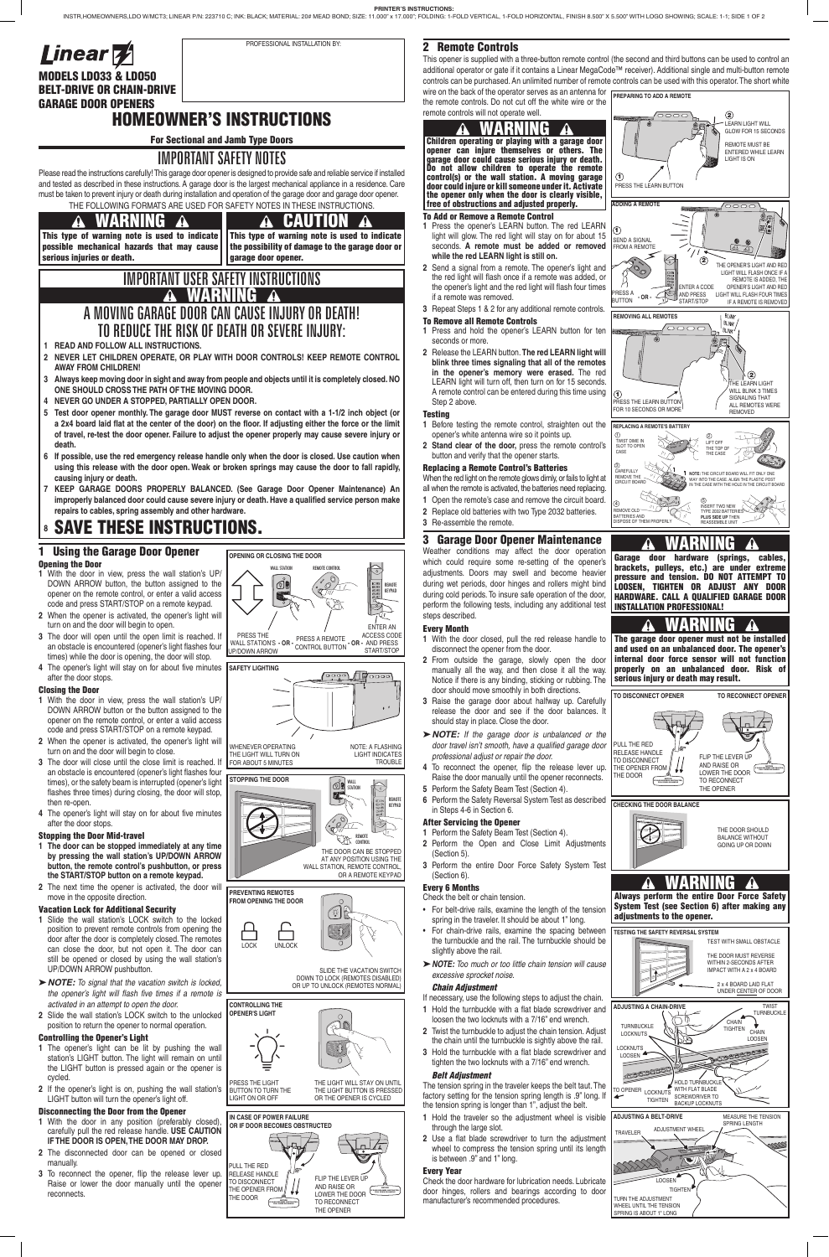# 2 Remote Controls

the remote controls. Do not cut off the white wire or the remote controls will not operate well.

# To Add or Remove a Remote Control

- **1** Press the opener's LEARN button. The red LEARN light will glow. The red light will stay on for about 15 seconds. **A remote must be added or removed while the red LEARN light is still on.**
- **2** Send a signal from a remote. The opener's light and the red light will flash once if a remote was added, or the opener's light and the red light will flash four times if a remote was removed.
- **3** Repeat Steps 1 & 2 for any additional remote controls.

# To Remove all Remote Controls

- **1** Press and hold the opener's LEARN button for ten seconds or more.
- **2** Release the LEARN button. **The red LEARN light will blink three times signaling that all of the remotes in the opener's memory were erased.** The red LEARN light will turn off, then turn on for 15 seconds. A remote control can be entered during this time using Step 2 above.

### **Testing**

- **1** Before testing the remote control, straighten out the opener's white antenna wire so it points up.
- **2 Stand clear of the door,** press the remote control's button and verify that the opener starts.

# Replacing a Remote Control's Batteries

- When the red light on the remote glows dimly, or fails to light at
- all when the remote is activated, the batteries need replacing.
- **1** Open the remote's case and remove the circuit board.
- **2** Replace old batteries with two Type 2032 batteries.
- **3** Re-assemble the remote.

# 3 Garage Door Opener Maintenance

Weather conditions may affect the door operation which could require some re-setting of the opener's adjustments. Doors may swell and become heavier during wet periods, door hinges and rollers might bind during cold periods. To insure safe operation of the door, perform the following tests, including any additional test steps described.

### Every Month

# 1 Using the Garage Door Opener Opening the Door

- **1** With the door closed, pull the red release handle to disconnect the opener from the door.
- **2** From outside the garage, slowly open the door manually all the way, and then close it all the way. Notice if there is any binding, sticking or rubbing. The door should move smoothly in both directions.
- **3** Raise the garage door about halfway up. Carefully release the door and see if the door balances. It should stay in place. Close the door.
- $\triangleright$  **NOTE:** If the garage door is unbalanced or the *door travel isn't smooth, have a qualified garage door professional adjust or repair the door.*
- **4** To reconnect the opener, flip the release lever up. Raise the door manually until the opener reconnects.
- **5** Perform the Safety Beam Test (Section 4).
- **6** Perform the Safety Reversal System Test as described in Steps 4-6 in Section 6.

# After Servicing the Opener

- **1** Perform the Safety Beam Test (Section 4). **2** Perform the Open and Close Limit Adjustments (Section 5).
- **3** Perform the entire Door Force Safety System Test (Section 6).

# Every 6 Months

- spring in the traveler. It should be about 1" long.
- **•** For chain-drive rails, examine the spacing between **TESTING THE SAFETY REVERSAL SYSTEM** the turnbuckle and the rail. The turnbuckle should be slightly above the rail.
- � *NOTE: Too much or too little chain tension will cause excessive sprocket noise.*

#### *Chain Adjustment*

- **1** With the door in any position (preferably closed), carefully pull the red release handle. **USE CAUTION IF THE DOOR IS OPEN, THE DOOR MAY DROP.**
- **2** The disconnected door can be opened or closed manually.
- **3** To reconnect the opener, flip the release lever up. Raise or lower the door manually until the opener **reconnects**
- If necessary, use the following steps to adjust the chain.
- **1** Hold the turnbuckle with a flat blade screwdriver and loosen the two locknuts with a 7/16" end wrench.
- **2** Twist the turnbuckle to adjust the chain tension. Adjust the chain until the turnbuckle is sightly above the rail.
- **3** Hold the turnbuckle with a flat blade screwdriver and tighten the two locknuts with a 7/16" end wrench.

# *Belt Adjustment*

- **1 READ AND FOLLOW ALL INSTRUCTIONS.**
- **2 NEVER LET CHILDREN OPERATE, OR PLAY WITH DOOR CONTROLS! KEEP REMOTE CONTROL AWAY FROM CHILDREN!**
- **3 Always keep moving door in sight and away from people and objects until it is completely closed. NO ONE SHOULD CROSS THE PATH OF THE MOVING DOOR.**
- **4 NEVER GO UNDER A STOPPED, PARTIALLY OPEN DOOR.**
- **5 Test door opener monthly. The garage door MUST reverse on contact with a 1-1/2 inch object (or a 2x4 board laid flat at the center of the door) on the floor. If adjusting either the force or the limit of travel, re-test the door opener. Failure to adjust the opener properly may cause severe injury or death.**
- **6 If possible, use the red emergency release handle only when the door is closed. Use caution when using this release with the door open. Weak or broken springs may cause the door to fall rapidly, causing injury or death.**
- **7 KEEP GARAGE DOORS PROPERLY BALANCED. (See Garage Door Opener Maintenance) An improperly balanced door could cause severe injury or death. Have a qualified service person make**  repairs to cables, spring assembly and other hardware.

# **8** SAVE THESE INSTRUCTIONS.

The tension spring in the traveler keeps the belt taut. The factory setting for the tension spring length is .9" long. If the tension spring is longer than 1", adjust the belt.

- **1** Hold the traveler so the adjustment wheel is visible through the large slot.
- **2** Use a flat blade screwdriver to turn the adjustment wheel to compress the tension spring until its length is between .9" and 1" long.

### Every Year

Check the door hardware for lubrication needs. Lubricate door hinges, rollers and bearings according to door manufacturer's recommended procedures.

MODELS LDO33 & LDO50 BELT-DRIVE OR CHAIN-DRIVE GARAGE DOOR OPENERS

# HOMEOWNER'S INSTRUCTIONS

For Sectional and Jamb Type Doors

# IMPORTANT SAFETY NOTES

#### WARNING т

This type of warning note is used to indicate possible mechanical hazards that may cause serious injuries or death.

CAUTION 70 This type of warning note is used to indicate the possibility of damage to the garage door or garage door opener.

Please read the instructions carefully! This garage door opener is designed to provide safe and reliable service if installed and tested as described in these instructions. A garage door is the largest mechanical appliance in a residence. Care must be taken to prevent injury or death during installation and operation of the garage door and garage door opener. THE FOLLOWING FORMATS ARE USED FOR SAFETY NOTES IN THESE INSTRUCTIONS.

#### WARNING A

- **1** With the door in view, press the wall station's UP/ DOWN ARROW button, the button assigned to the opener on the remote control, or enter a valid access code and press START/STOP on a remote keypad.
- **2** When the opener is activated, the opener's light will turn on and the door will begin to open.
- **3** The door will open until the open limit is reached. If an obstacle is encountered (opener's light flashes four times) while the door is opening, the door will stop.
- **4** The opener's light will stay on for about five minutes after the door stops.

SEND A SIGNAL ROM A REMOT

### Closing the Door

This opener is supplied with a three-button remote control (the second and third buttons can be used to control an additional operator or gate if it contains a Linear MegaCode™ receiver). Additional single and multi-button remote controls can be purchased. An unlimited number of remote controls can be used with this operator. The short white wire on the back of the operator serves as an antenna for **PREPARING TO ADD A REMOTE**

- **1** With the door in view, press the wall station's UP/ DOWN ARROW button or the button assigned to the opener on the remote control, or enter a valid access code and press START/STOP on a remote keypad.
- **2** When the opener is activated, the opener's light will turn on and the door will begin to close.
- **3** The door will close until the close limit is reached. If an obstacle is encountered (opener's light flashes four times), or the safety beam is interrupted (opener's light flashes three times) during closing, the door will stop, then re-open.
- **4** The opener's light will stay on for about five minutes after the door stops.

REMOTI KEYPAD

- Check the belt or chain tension. • For belt-drive rails, examine the length of the tension
- THE OPENER'S LIGHT AND RED LIGHT WILL FLASH ONCE IF A REMOTE IS ADDED, THE OPENER'S LIGHT AND RED ENTER A CODE RESS A LIGHT WILL FLASH FOUR TIMES AND PRESS START/STOP **DESSA - OR** IF A REMOTE IS REMOVED **REMOVING ALL REMOTES BLINK**  $\Diamond$ .<br>THE LEARN LIGHT WILL BLINK 3 TIMES  $\bigcirc$ SIGNALING THAT ALL REMOTES WERE PRESS THE LEARN BUTTON FOR 10 SECONDS OR MORE REMOVED **REPLACING A REMOTE'S BATTER**  $\circledcirc$  $^{\circ}$ TWIST DIME IN SLOT TO OPEN LIFT OFF THE TOP OF CASE THE CASE 3 CAREFULLY **NOTE:** THE CIRCUIT BOARD WILL FIT ONLY ONE REMOVE THE WAY INTO THE CASE. ALIGN THE PLASTIC POST IN THE CASE WITH THE HOLE IN THE CIRCUIT BOARD CIRCUIT BOARD  $\overline{a}$ 5 INSERT TWO NEW REMOVE OLD TYPE 2032 BATTERIES **PLUS SIDE UP** THEN BATTERIES AND REASSEMBLE UNIT DISPOSE OF THEM PROPERLY **MARNING** Garage door hardware (springs, cables, brackets, pulleys, etc.) are under extreme pressure and tension. DO NOT ATTEMPT TO LOOSEN, TIGHTEN OR ADJUST ANY DOOR HARDWARE. CALL A QUALIFIED GARAGE DOOR INSTALLATION PROFESSIONAL! WARNING Ж The garage door opener must not be installed and used on an unbalanced door. The opener's internal door force sensor will not function properly on an unbalanced door. Risk of serious injury or death may result. **TO DISCONNECT OPENER TO RECONNECT OPENER** PULL THE RED RELEASE HANDLE FLIP THE LEVER UP TO DISCONNECT AND RAISE OR LOWER THE DOOR THE OPENER FROM NOTICE THE DOOR TO RECONNECT NOTICE IF DOOR BECOMES OBSTRUCTED, THE OPENER **CHECKING THE DOOR BALANCE**

CHOCHE DIRECT

PRESS THE LIGHT BUTTON TO TURN THE LIGHT ON OR OFF THE LIGHT WILL STAY ON UNTIL THE LIGHT BUTTON IS PRESSED OR THE OPENER IS CYCLED

### Stopping the Door Mid-travel

- **1 The door can be stopped immediately at any time by pressing the wall station's UP/DOWN ARROW button, the remote control's pushbutton, or press the START/STOP button on a remote keypad.**
- **2** The next time the opener is activated, the door will move in the opposite direction.

#### Vacation Lock for Additional Security

- **1** Slide the wall station's LOCK switch to the locked position to prevent remote controls from opening the door after the door is completely closed. The remotes can close the door, but not open it. The door can still be opened or closed by using the wall station's UP/DOWN ARROW pushbutton.
- > **NOTE:** To signal that the vacation switch is locked, *the opener's light will flash five times if a remote is activated in an attempt to open the door.*
- **2** Slide the wall station's LOCK switch to the unlocked position to return the opener to normal operation.

# Controlling the Opener's Light

- **1** The opener's light can be lit by pushing the wall station's LIGHT button. The light will remain on until the LIGHT button is pressed again or the opener is cycled.
- **2** If the opener's light is on, pushing the wall station's LIGHT button will turn the opener's light off.

#### Disconnecting the Door from the Opener

# IMPORTANT USER SAFETY INSTRUCTIONS WARNING A MOVING GARAGE DOOR CAN CAUSE INJURY OR DEATH! TO REDUCE THE RISK OF DEATH OR SEVERE INJURY:



# WARNING

Always perform the entire Door Force Safety System Test (see Section 6) after making any

#### adjustments to the opener.



Children operating or playing with a garage door opener can injure themselves or others. The garage door could cause serious injury or death. Do not allow children to operate the remote control(s) or the wall station. A moving garage door could injure or kill someone under it. Activate the opener only when the door is clearly visible, free of obstructions and adjusted properly.

**ADDING A REMOTE**



**ADJUSTING A BELT-DRIVE** MEASURE THE TENSION SPRING LENGTH ADJUSTMENT WHEEL TRAVELER**PRE**  $\frac{1}{\sqrt{2}}$ **LOOSEN TIGHTE** TURN THE ADJUSTMENT WHEEL UNTIL THE TENSION SPRING IS ABOUT 1" LONG

PRESS THE LEARN BUTTON

 $\odot$ 

 $\bigcirc$ 

LEARN LIGHT WILL GLOW FOR 15 SECONDS REMOTE MUST BE ENTERED WHILE LEARN LIGHT IS ON

 $\circled{2}$ 

 $\circled{2}$ 

TIGHTEN

SCREWDRIVER TO BACKUP LOCKNUTS



# **OPENING OR CLOSING THE DOOR**



WHENEVER OPERATING THE LIGHT WILL TURN ON

FOR ABOUT 5 MINUTES





**STOPPING THE DOOR** ൕ഻ WALL STATION REMOTE CONTROL THE DOOR CAN BE STOPPED

AT ANY POSITION USING THE WALL STATION, REMOTE CONTROL, OR A REMOTE KEYPAD



SLIDE THE VACATION SWITCH DOWN TO LOCK (REMOTES DISABLED) OR UP TO UNLOCK (REMOTES NORMAL)



# **CONTROLLING THE OPENER'S LIGHT**



NOTICE



| <b>Linear W</b> |  |
|-----------------|--|
|-----------------|--|

PROFESSIONAL INSTALLATION BY: